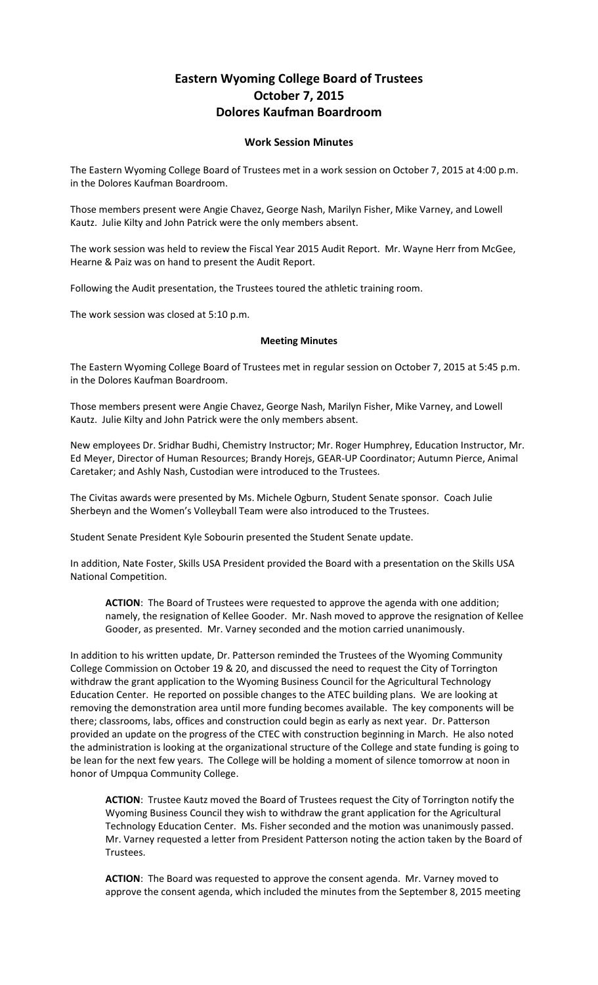## **Eastern Wyoming College Board of Trustees October 7, 2015 Dolores Kaufman Boardroom**

## **Work Session Minutes**

The Eastern Wyoming College Board of Trustees met in a work session on October 7, 2015 at 4:00 p.m. in the Dolores Kaufman Boardroom.

Those members present were Angie Chavez, George Nash, Marilyn Fisher, Mike Varney, and Lowell Kautz. Julie Kilty and John Patrick were the only members absent.

The work session was held to review the Fiscal Year 2015 Audit Report. Mr. Wayne Herr from McGee, Hearne & Paiz was on hand to present the Audit Report.

Following the Audit presentation, the Trustees toured the athletic training room.

The work session was closed at 5:10 p.m.

## **Meeting Minutes**

The Eastern Wyoming College Board of Trustees met in regular session on October 7, 2015 at 5:45 p.m. in the Dolores Kaufman Boardroom.

Those members present were Angie Chavez, George Nash, Marilyn Fisher, Mike Varney, and Lowell Kautz. Julie Kilty and John Patrick were the only members absent.

New employees Dr. Sridhar Budhi, Chemistry Instructor; Mr. Roger Humphrey, Education Instructor, Mr. Ed Meyer, Director of Human Resources; Brandy Horejs, GEAR-UP Coordinator; Autumn Pierce, Animal Caretaker; and Ashly Nash, Custodian were introduced to the Trustees.

The Civitas awards were presented by Ms. Michele Ogburn, Student Senate sponsor. Coach Julie Sherbeyn and the Women's Volleyball Team were also introduced to the Trustees.

Student Senate President Kyle Sobourin presented the Student Senate update.

In addition, Nate Foster, Skills USA President provided the Board with a presentation on the Skills USA National Competition.

**ACTION**: The Board of Trustees were requested to approve the agenda with one addition; namely, the resignation of Kellee Gooder. Mr. Nash moved to approve the resignation of Kellee Gooder, as presented. Mr. Varney seconded and the motion carried unanimously.

In addition to his written update, Dr. Patterson reminded the Trustees of the Wyoming Community College Commission on October 19 & 20, and discussed the need to request the City of Torrington withdraw the grant application to the Wyoming Business Council for the Agricultural Technology Education Center. He reported on possible changes to the ATEC building plans. We are looking at removing the demonstration area until more funding becomes available. The key components will be there; classrooms, labs, offices and construction could begin as early as next year. Dr. Patterson provided an update on the progress of the CTEC with construction beginning in March. He also noted the administration is looking at the organizational structure of the College and state funding is going to be lean for the next few years. The College will be holding a moment of silence tomorrow at noon in honor of Umpqua Community College.

**ACTION**: Trustee Kautz moved the Board of Trustees request the City of Torrington notify the Wyoming Business Council they wish to withdraw the grant application for the Agricultural Technology Education Center. Ms. Fisher seconded and the motion was unanimously passed. Mr. Varney requested a letter from President Patterson noting the action taken by the Board of Trustees.

**ACTION**: The Board was requested to approve the consent agenda. Mr. Varney moved to approve the consent agenda, which included the minutes from the September 8, 2015 meeting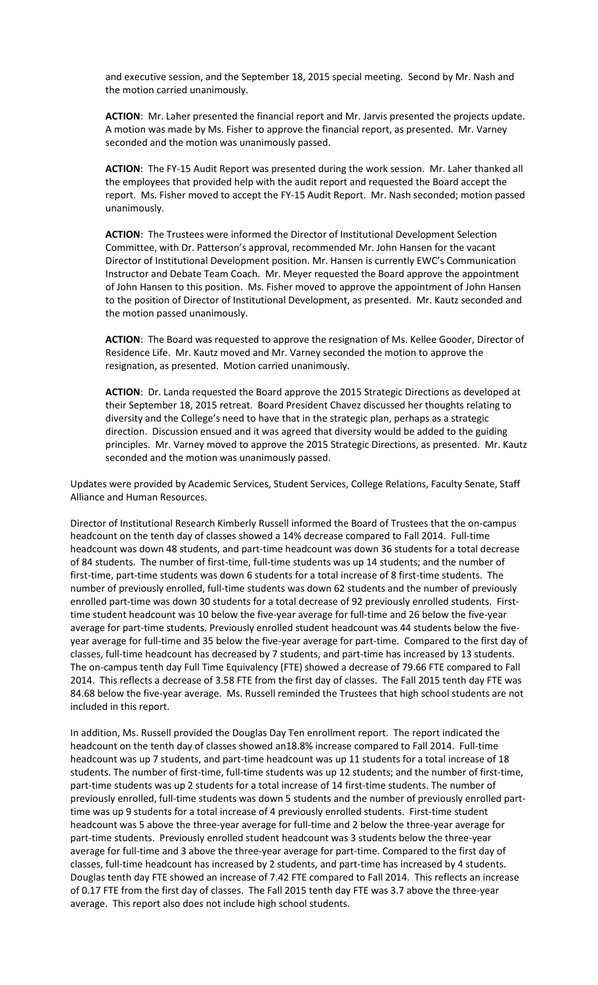and executive session, and the September 18, 2015 special meeting. Second by Mr. Nash and the motion carried unanimously.

**ACTION**: Mr. Laher presented the financial report and Mr. Jarvis presented the projects update. A motion was made by Ms. Fisher to approve the financial report, as presented. Mr. Varney seconded and the motion was unanimously passed.

**ACTION**: The FY-15 Audit Report was presented during the work session. Mr. Laher thanked all the employees that provided help with the audit report and requested the Board accept the report. Ms. Fisher moved to accept the FY-15 Audit Report. Mr. Nash seconded; motion passed unanimously.

**ACTION**: The Trustees were informed the Director of Institutional Development Selection Committee, with Dr. Patterson's approval, recommended Mr. John Hansen for the vacant Director of Institutional Development position. Mr. Hansen is currently EWC's Communication Instructor and Debate Team Coach. Mr. Meyer requested the Board approve the appointment of John Hansen to this position. Ms. Fisher moved to approve the appointment of John Hansen to the position of Director of Institutional Development, as presented. Mr. Kautz seconded and the motion passed unanimously.

**ACTION**: The Board was requested to approve the resignation of Ms. Kellee Gooder, Director of Residence Life. Mr. Kautz moved and Mr. Varney seconded the motion to approve the resignation, as presented. Motion carried unanimously.

**ACTION**: Dr. Landa requested the Board approve the 2015 Strategic Directions as developed at their September 18, 2015 retreat. Board President Chavez discussed her thoughts relating to diversity and the College's need to have that in the strategic plan, perhaps as a strategic direction. Discussion ensued and it was agreed that diversity would be added to the guiding principles. Mr. Varney moved to approve the 2015 Strategic Directions, as presented. Mr. Kautz seconded and the motion was unanimously passed.

Updates were provided by Academic Services, Student Services, College Relations, Faculty Senate, Staff Alliance and Human Resources.

Director of Institutional Research Kimberly Russell informed the Board of Trustees that the on-campus headcount on the tenth day of classes showed a 14% decrease compared to Fall 2014. Full-time headcount was down 48 students, and part-time headcount was down 36 students for a total decrease of 84 students. The number of first-time, full-time students was up 14 students; and the number of first-time, part-time students was down 6 students for a total increase of 8 first-time students. The number of previously enrolled, full-time students was down 62 students and the number of previously enrolled part-time was down 30 students for a total decrease of 92 previously enrolled students. Firsttime student headcount was 10 below the five-year average for full-time and 26 below the five-year average for part-time students. Previously enrolled student headcount was 44 students below the fiveyear average for full-time and 35 below the five-year average for part-time. Compared to the first day of classes, full-time headcount has decreased by 7 students, and part-time has increased by 13 students. The on-campus tenth day Full Time Equivalency (FTE) showed a decrease of 79.66 FTE compared to Fall 2014. This reflects a decrease of 3.58 FTE from the first day of classes. The Fall 2015 tenth day FTE was 84.68 below the five-year average. Ms. Russell reminded the Trustees that high school students are not included in this report.

In addition, Ms. Russell provided the Douglas Day Ten enrollment report. The report indicated the headcount on the tenth day of classes showed an18.8% increase compared to Fall 2014. Full-time headcount was up 7 students, and part-time headcount was up 11 students for a total increase of 18 students. The number of first-time, full-time students was up 12 students; and the number of first-time, part-time students was up 2 students for a total increase of 14 first-time students. The number of previously enrolled, full-time students was down 5 students and the number of previously enrolled parttime was up 9 students for a total increase of 4 previously enrolled students. First-time student headcount was 5 above the three-year average for full-time and 2 below the three-year average for part-time students. Previously enrolled student headcount was 3 students below the three-year average for full-time and 3 above the three-year average for part-time. Compared to the first day of classes, full-time headcount has increased by 2 students, and part-time has increased by 4 students. Douglas tenth day FTE showed an increase of 7.42 FTE compared to Fall 2014. This reflects an increase of 0.17 FTE from the first day of classes. The Fall 2015 tenth day FTE was 3.7 above the three-year average. This report also does not include high school students.